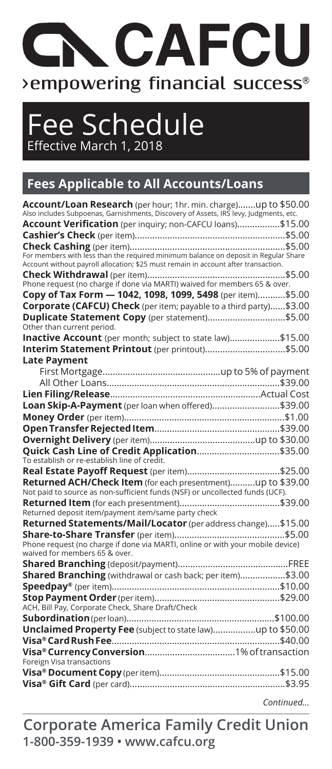# **ACAFCI** >empowering financial success®

Fee Schedule Effective March 1, 2018

#### **Fees Applicable to All Accounts/Loans**

| Account/Loan Research (per hour; 1hr. min. charge)up to \$50.00                       |
|---------------------------------------------------------------------------------------|
| Also includes Subpoenas, Garnishments, Discovery of Assets, IRS levy, Judgments, etc. |
| Account Verification (per inquiry; non-CAFCU loans)\$15.00                            |
|                                                                                       |
|                                                                                       |
| Account without payroll allocation; \$25 must remain in account after transaction.    |
|                                                                                       |
|                                                                                       |
| Copy of Tax Form - 1042, 1098, 1099, 5498 (per item) \$5.00                           |
| Corporate (CAFCU) Check (per item; payable to a third party)\$3.00                    |
| Duplicate Statement Copy (per statement)\$5.00<br>Other than current period.          |
| Inactive Account (per month; subject to state law)\$15.00                             |
|                                                                                       |
| <b>Late Payment</b>                                                                   |
|                                                                                       |
|                                                                                       |
|                                                                                       |
| Loan Skip-A-Payment (per loan when offered)\$39.00                                    |
|                                                                                       |
|                                                                                       |
|                                                                                       |
| Quick Cash Line of Credit Application\$35.00                                          |
| To establish or re-establish line of credit.                                          |
|                                                                                       |
| Returned ACH/Check Item (for each presentment)up to \$39.00                           |
| Not paid to source as non-sufficient funds (NSF) or uncollected funds (UCF).          |
| Returned deposit item/payment item/same party check                                   |
| Returned Statements/Mail/Locator (per address change)\$15.00                          |
|                                                                                       |
| Phone request (no charge if done via MARTI, online or with your mobile device)        |
| waived for members 65 & over.                                                         |
|                                                                                       |
| Shared Branching (withdrawal or cash back; per item)\$3.00                            |
|                                                                                       |
|                                                                                       |
| ACH, Bill Pay, Corporate Check, Share Draft/Check                                     |
|                                                                                       |
|                                                                                       |
|                                                                                       |
|                                                                                       |
| Foreign Visa transactions                                                             |
|                                                                                       |
|                                                                                       |
| Continued                                                                             |

**1-800-359-1939 • www.cafcu.org Corporate America Family Credit Union**